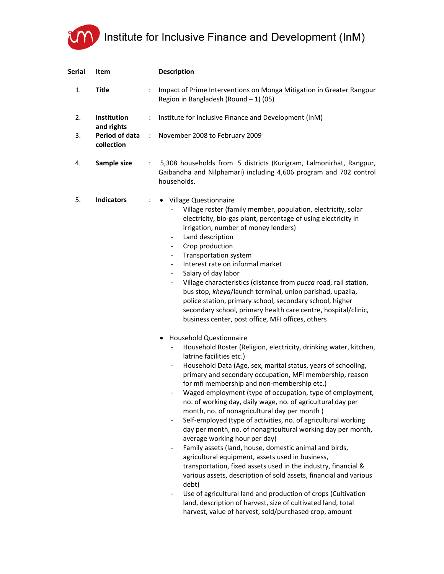## Institute for Inclusive Finance and Development (InM)

| <b>Serial</b> | Item                         |               | <b>Description</b>                                                                                                                                                                                                                                                                                                                                                                                                                                                                                                                                                                                                                                                                                                                                                                                                                                                                                                                                                                                                                                                                                                                                                                                                                                                                                                                                                                                                                                                                                                                                                                                                                                                                                                                                                                                                                                                                                                                                                               |
|---------------|------------------------------|---------------|----------------------------------------------------------------------------------------------------------------------------------------------------------------------------------------------------------------------------------------------------------------------------------------------------------------------------------------------------------------------------------------------------------------------------------------------------------------------------------------------------------------------------------------------------------------------------------------------------------------------------------------------------------------------------------------------------------------------------------------------------------------------------------------------------------------------------------------------------------------------------------------------------------------------------------------------------------------------------------------------------------------------------------------------------------------------------------------------------------------------------------------------------------------------------------------------------------------------------------------------------------------------------------------------------------------------------------------------------------------------------------------------------------------------------------------------------------------------------------------------------------------------------------------------------------------------------------------------------------------------------------------------------------------------------------------------------------------------------------------------------------------------------------------------------------------------------------------------------------------------------------------------------------------------------------------------------------------------------------|
| 1.            | <b>Title</b>                 | ÷             | Impact of Prime Interventions on Monga Mitigation in Greater Rangpur<br>Region in Bangladesh (Round $-1$ ) (05)                                                                                                                                                                                                                                                                                                                                                                                                                                                                                                                                                                                                                                                                                                                                                                                                                                                                                                                                                                                                                                                                                                                                                                                                                                                                                                                                                                                                                                                                                                                                                                                                                                                                                                                                                                                                                                                                  |
| 2.            | Institution<br>and rights    | ÷             | Institute for Inclusive Finance and Development (InM)                                                                                                                                                                                                                                                                                                                                                                                                                                                                                                                                                                                                                                                                                                                                                                                                                                                                                                                                                                                                                                                                                                                                                                                                                                                                                                                                                                                                                                                                                                                                                                                                                                                                                                                                                                                                                                                                                                                            |
| 3.            | Period of data<br>collection | $\mathcal{L}$ | November 2008 to February 2009                                                                                                                                                                                                                                                                                                                                                                                                                                                                                                                                                                                                                                                                                                                                                                                                                                                                                                                                                                                                                                                                                                                                                                                                                                                                                                                                                                                                                                                                                                                                                                                                                                                                                                                                                                                                                                                                                                                                                   |
| 4.            | Sample size                  | ÷             | 5,308 households from 5 districts (Kurigram, Lalmonirhat, Rangpur,<br>Gaibandha and Nilphamari) including 4,606 program and 702 control<br>households.                                                                                                                                                                                                                                                                                                                                                                                                                                                                                                                                                                                                                                                                                                                                                                                                                                                                                                                                                                                                                                                                                                                                                                                                                                                                                                                                                                                                                                                                                                                                                                                                                                                                                                                                                                                                                           |
| 5.            | <b>Indicators</b>            | ÷             | • Village Questionnaire<br>Village roster (family member, population, electricity, solar<br>electricity, bio-gas plant, percentage of using electricity in<br>irrigation, number of money lenders)<br>Land description<br>$\overline{\phantom{a}}$<br>Crop production<br>$\blacksquare$<br>Transportation system<br>$\blacksquare$<br>Interest rate on informal market<br>$\blacksquare$<br>Salary of day labor<br>$\blacksquare$<br>Village characteristics (distance from pucca road, rail station,<br>$\blacksquare$<br>bus stop, kheya/launch terminal, union parishad, upazila,<br>police station, primary school, secondary school, higher<br>secondary school, primary health care centre, hospital/clinic,<br>business center, post office, MFI offices, others<br><b>Household Questionnaire</b><br>Household Roster (Religion, electricity, drinking water, kitchen,<br>$\blacksquare$<br>latrine facilities etc.)<br>Household Data (Age, sex, marital status, years of schooling,<br>$\blacksquare$<br>primary and secondary occupation, MFI membership, reason<br>for mfi membership and non-membership etc.)<br>Waged employment (type of occupation, type of employment,<br>no. of working day, daily wage, no. of agricultural day per<br>month, no. of nonagricultural day per month)<br>Self-employed (type of activities, no. of agricultural working<br>$\blacksquare$<br>day per month, no. of nonagricultural working day per month,<br>average working hour per day)<br>Family assets (land, house, domestic animal and birds,<br>agricultural equipment, assets used in business,<br>transportation, fixed assets used in the industry, financial &<br>various assets, description of sold assets, financial and various<br>debt)<br>Use of agricultural land and production of crops (Cultivation<br>$\overline{\phantom{m}}$<br>land, description of harvest, size of cultivated land, total<br>harvest, value of harvest, sold/purchased crop, amount |